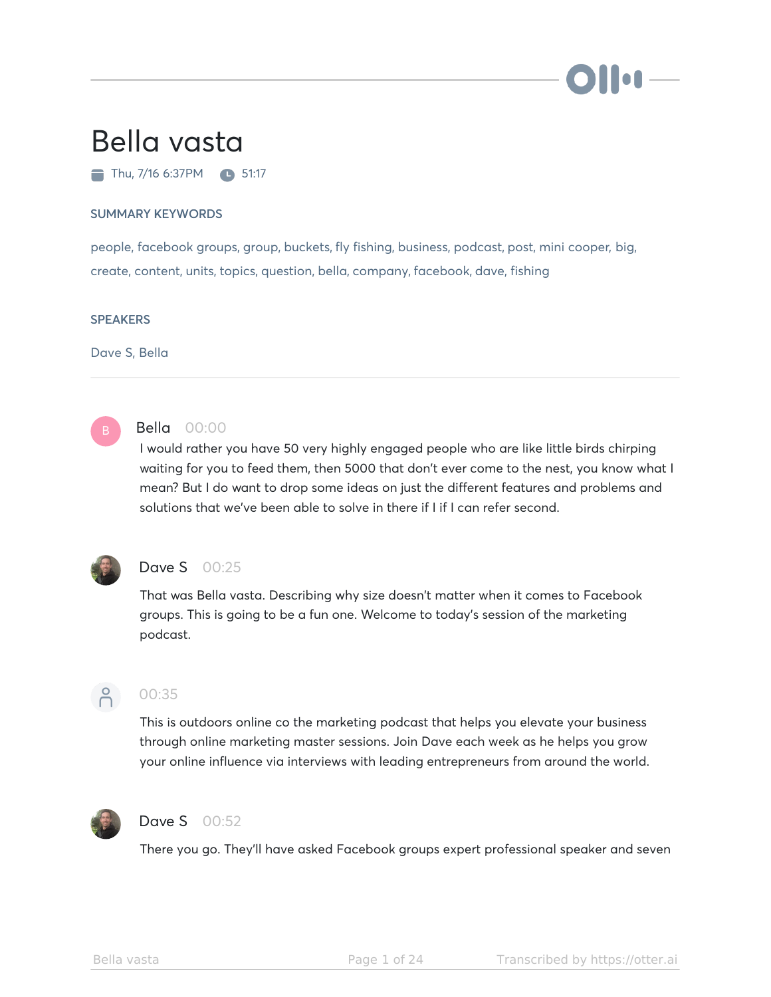

# Bella vasta

 $\blacksquare$  Thu, 7/16 6:37PM  $\blacksquare$  51:17

#### SUMMARY KEYWORDS

people, facebook groups, group, buckets, fly fishing, business, podcast, post, mini cooper, big, create, content, units, topics, question, bella, company, facebook, dave, fishing

#### **SPEAKERS**

Dave S, Bella



#### Bella 00:00

I would rather you have 50 very highly engaged people who are like little birds chirping waiting for you to feed them, then 5000 that don't ever come to the nest, you know what I mean? But I do want to drop some ideas on just the different features and problems and solutions that we've been able to solve in there if I if I can refer second.



#### **Dave S** 00:25

That was Bella vasta. Describing why size doesn't matter when it comes to Facebook groups. This is going to be a fun one. Welcome to today's session of the marketing podcast.



#### 00:35

This is outdoors online co the marketing podcast that helps you elevate your business through online marketing master sessions. Join Dave each week as he helps you grow your online influence via interviews with leading entrepreneurs from around the world.



#### Dave S 00:52

There you go. They'll have asked Facebook groups expert professional speaker and seven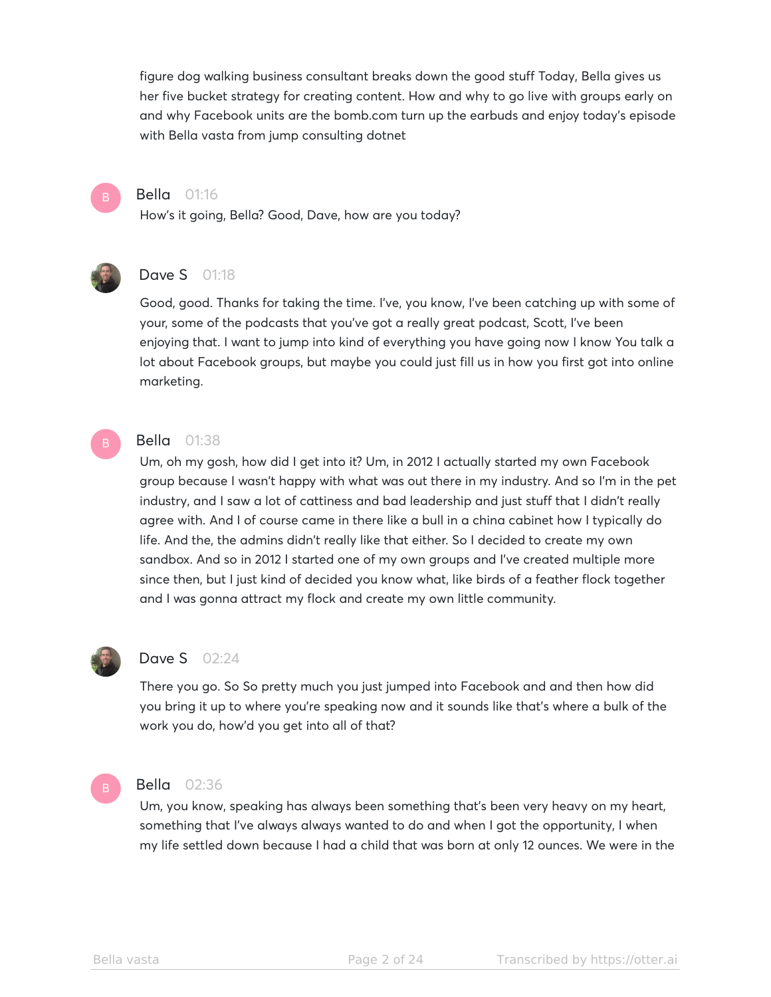figure dog walking business consultant breaks down the good stuff Today, Bella gives us her five bucket strategy for creating content. How and why to go live with groups early on and why Facebook units are the bomb.com turn up the earbuds and enjoy today's episode with Bella vasta from jump consulting dotnet



### Bella 01:16

How's it going, Bella? Good, Dave, how are you today?



#### **Dave S** 01:18

Good, good. Thanks for taking the time. I've, you know, I've been catching up with some of your, some of the podcasts that you've got a really great podcast, Scott, I've been enjoying that. I want to jump into kind of everything you have going now I know You talk a lot about Facebook groups, but maybe you could just fill us in how you first got into online marketing.

#### **Bella** 01:38

Um, oh my gosh, how did I get into it? Um, in 2012 I actually started my own Facebook group because I wasn't happy with what was out there in my industry. And so I'm in the pet industry, and I saw a lot of cattiness and bad leadership and just stuff that I didn't really agree with. And I of course came in there like a bull in a china cabinet how I typically do life. And the, the admins didn't really like that either. So I decided to create my own sandbox. And so in 2012 I started one of my own groups and I've created multiple more since then, but I just kind of decided you know what, like birds of a feather flock together and I was gonna attract my flock and create my own little community.



#### **Dave S** 02:24

There you go. So So pretty much you just jumped into Facebook and and then how did you bring it up to where you're speaking now and it sounds like that's where a bulk of the work you do, how'd you get into all of that?



#### Bella 02:36

Um, you know, speaking has always been something that's been very heavy on my heart, something that I've always always wanted to do and when I got the opportunity, I when my life settled down because I had a child that was born at only 12 ounces. We were in the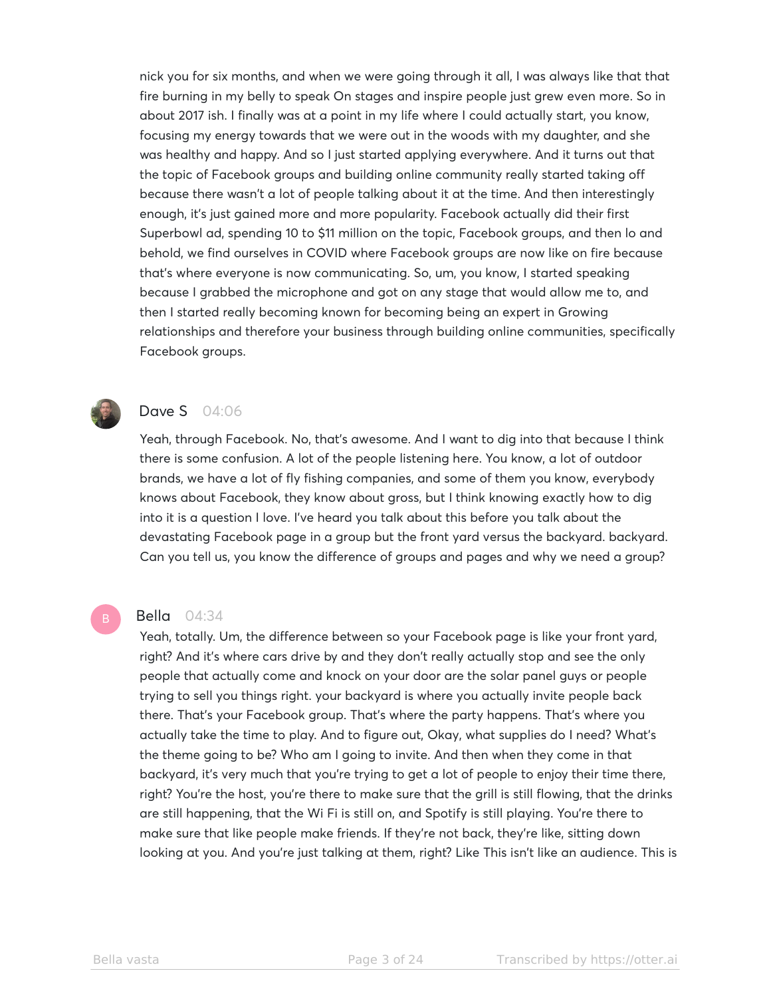nick you for six months, and when we were going through it all, I was always like that that fire burning in my belly to speak On stages and inspire people just grew even more. So in about 2017 ish. I finally was at a point in my life where I could actually start, you know, focusing my energy towards that we were out in the woods with my daughter, and she was healthy and happy. And so I just started applying everywhere. And it turns out that the topic of Facebook groups and building online community really started taking off because there wasn't a lot of people talking about it at the time. And then interestingly enough, it's just gained more and more popularity. Facebook actually did their first Superbowl ad, spending 10 to \$11 million on the topic, Facebook groups, and then lo and behold, we find ourselves in COVID where Facebook groups are now like on fire because that's where everyone is now communicating. So, um, you know, I started speaking because I grabbed the microphone and got on any stage that would allow me to, and then I started really becoming known for becoming being an expert in Growing relationships and therefore your business through building online communities, specifically Facebook groups.



# **Dave S** 04:06

Yeah, through Facebook. No, that's awesome. And I want to dig into that because I think there is some confusion. A lot of the people listening here. You know, a lot of outdoor brands, we have a lot of fly fishing companies, and some of them you know, everybody knows about Facebook, they know about gross, but I think knowing exactly how to dig into it is a question I love. I've heard you talk about this before you talk about the devastating Facebook page in a group but the front yard versus the backyard. backyard. Can you tell us, you know the difference of groups and pages and why we need a group?

#### Bella 04:34

Yeah, totally. Um, the difference between so your Facebook page is like your front yard, right? And it's where cars drive by and they don't really actually stop and see the only people that actually come and knock on your door are the solar panel guys or people trying to sell you things right. your backyard is where you actually invite people back there. That's your Facebook group. That's where the party happens. That's where you actually take the time to play. And to figure out, Okay, what supplies do I need? What's the theme going to be? Who am I going to invite. And then when they come in that backyard, it's very much that you're trying to get a lot of people to enjoy their time there, right? You're the host, you're there to make sure that the grill is still flowing, that the drinks are still happening, that the Wi Fi is still on, and Spotify is still playing. You're there to make sure that like people make friends. If they're not back, they're like, sitting down looking at you. And you're just talking at them, right? Like This isn't like an audience. This is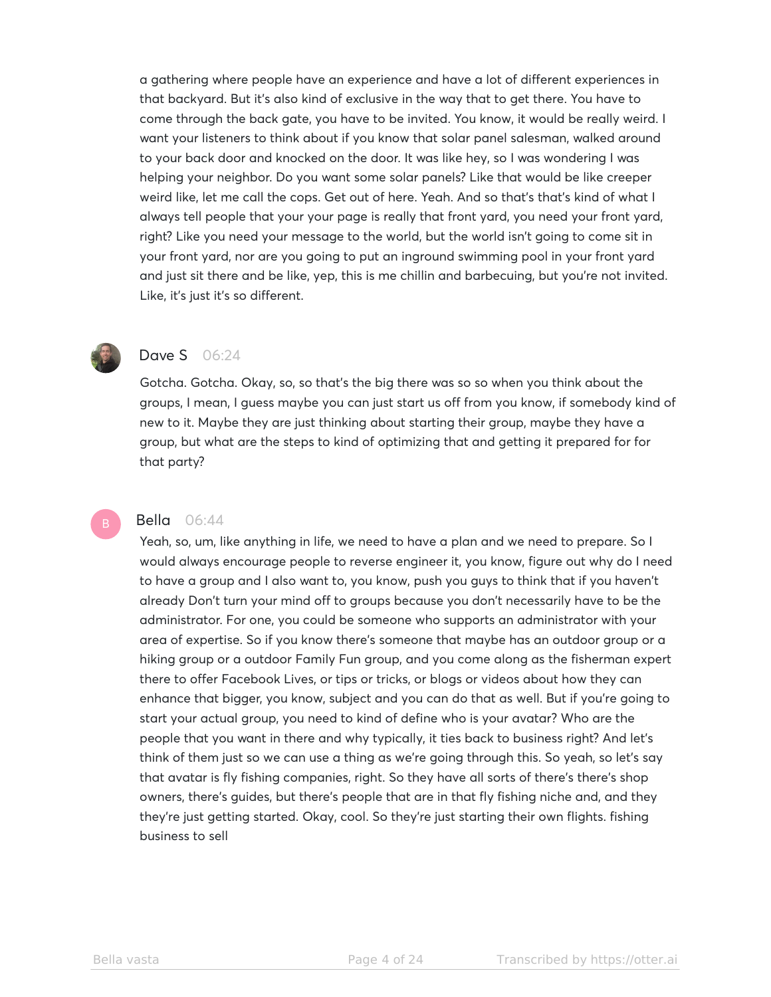a gathering where people have an experience and have a lot of different experiences in that backyard. But it's also kind of exclusive in the way that to get there. You have to come through the back gate, you have to be invited. You know, it would be really weird. I want your listeners to think about if you know that solar panel salesman, walked around to your back door and knocked on the door. It was like hey, so I was wondering I was helping your neighbor. Do you want some solar panels? Like that would be like creeper weird like, let me call the cops. Get out of here. Yeah. And so that's that's kind of what I always tell people that your your page is really that front yard, you need your front yard, right? Like you need your message to the world, but the world isn't going to come sit in your front yard, nor are you going to put an inground swimming pool in your front yard and just sit there and be like, yep, this is me chillin and barbecuing, but you're not invited. Like, it's just it's so different.



# **Dave S** 06:24

Gotcha. Gotcha. Okay, so, so that's the big there was so so when you think about the groups, I mean, I guess maybe you can just start us off from you know, if somebody kind of new to it. Maybe they are just thinking about starting their group, maybe they have a group, but what are the steps to kind of optimizing that and getting it prepared for for that party?

#### **Bella** 06:44

Yeah, so, um, like anything in life, we need to have a plan and we need to prepare. So I would always encourage people to reverse engineer it, you know, figure out why do I need to have a group and I also want to, you know, push you guys to think that if you haven't already Don't turn your mind off to groups because you don't necessarily have to be the administrator. For one, you could be someone who supports an administrator with your area of expertise. So if you know there's someone that maybe has an outdoor group or a hiking group or a outdoor Family Fun group, and you come along as the fisherman expert there to offer Facebook Lives, or tips or tricks, or blogs or videos about how they can enhance that bigger, you know, subject and you can do that as well. But if you're going to start your actual group, you need to kind of define who is your avatar? Who are the people that you want in there and why typically, it ties back to business right? And let's think of them just so we can use a thing as we're going through this. So yeah, so let's say that avatar is fly fishing companies, right. So they have all sorts of there's there's shop owners, there's guides, but there's people that are in that fly fishing niche and, and they they're just getting started. Okay, cool. So they're just starting their own flights. fishing business to sell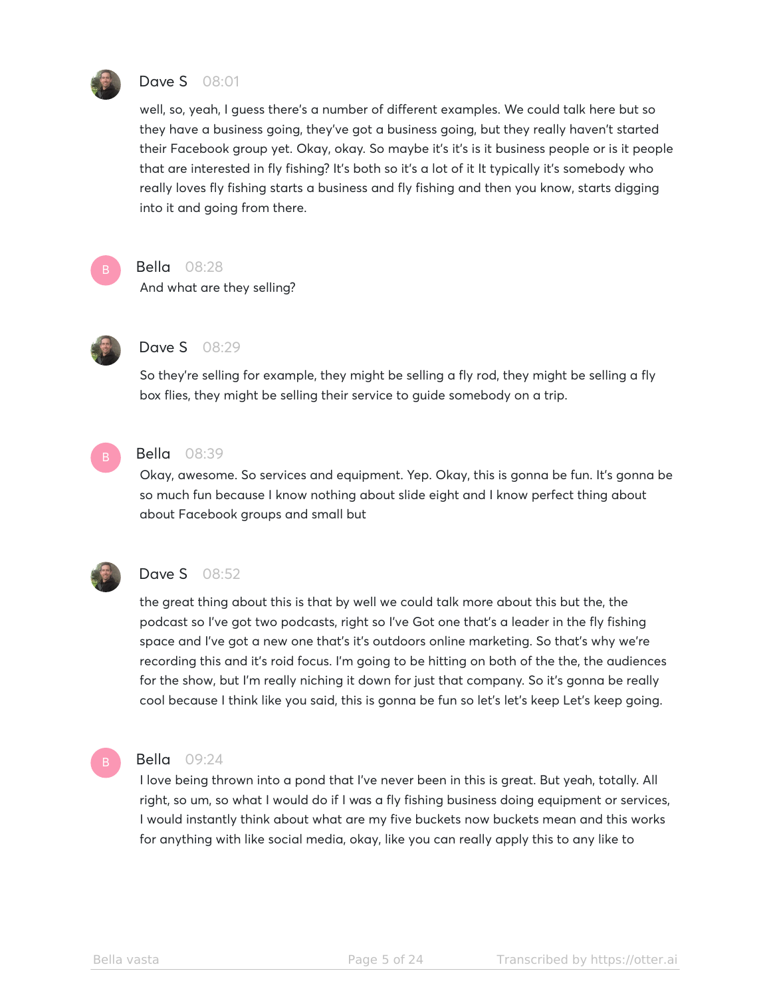

# **Dave S** 08:01

well, so, yeah, I guess there's a number of different examples. We could talk here but so they have a business going, they've got a business going, but they really haven't started their Facebook group yet. Okay, okay. So maybe it's it's is it business people or is it people that are interested in fly fishing? It's both so it's a lot of it It typically it's somebody who really loves fly fishing starts a business and fly fishing and then you know, starts digging into it and going from there.



#### Bella 08:28

And what are they selling?



#### Dave S 08:29

So they're selling for example, they might be selling a fly rod, they might be selling a fly box flies, they might be selling their service to guide somebody on a trip.



#### Bella 08:39

Okay, awesome. So services and equipment. Yep. Okay, this is gonna be fun. It's gonna be so much fun because I know nothing about slide eight and I know perfect thing about about Facebook groups and small but



# Dave S 08:52

the great thing about this is that by well we could talk more about this but the, the podcast so I've got two podcasts, right so I've Got one that's a leader in the fly fishing space and I've got a new one that's it's outdoors online marketing. So that's why we're recording this and it's roid focus. I'm going to be hitting on both of the the, the audiences for the show, but I'm really niching it down for just that company. So it's gonna be really cool because I think like you said, this is gonna be fun so let's let's keep Let's keep going.



#### Bella 09:24

I love being thrown into a pond that I've never been in this is great. But yeah, totally. All right, so um, so what I would do if I was a fly fishing business doing equipment or services, I would instantly think about what are my five buckets now buckets mean and this works for anything with like social media, okay, like you can really apply this to any like to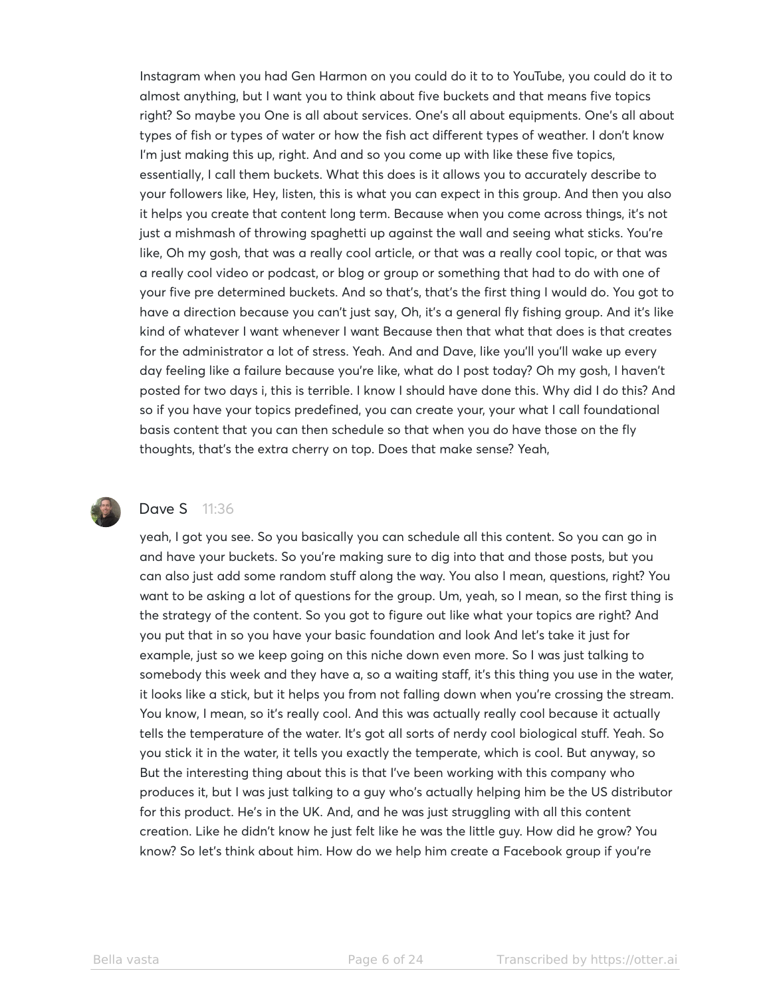Instagram when you had Gen Harmon on you could do it to to YouTube, you could do it to almost anything, but I want you to think about five buckets and that means five topics right? So maybe you One is all about services. One's all about equipments. One's all about types of fish or types of water or how the fish act different types of weather. I don't know I'm just making this up, right. And and so you come up with like these five topics, essentially, I call them buckets. What this does is it allows you to accurately describe to your followers like, Hey, listen, this is what you can expect in this group. And then you also it helps you create that content long term. Because when you come across things, it's not just a mishmash of throwing spaghetti up against the wall and seeing what sticks. You're like, Oh my gosh, that was a really cool article, or that was a really cool topic, or that was a really cool video or podcast, or blog or group or something that had to do with one of your five pre determined buckets. And so that's, that's the first thing I would do. You got to have a direction because you can't just say, Oh, it's a general fly fishing group. And it's like kind of whatever I want whenever I want Because then that what that does is that creates for the administrator a lot of stress. Yeah. And and Dave, like you'll you'll wake up every day feeling like a failure because you're like, what do I post today? Oh my gosh, I haven't posted for two days i, this is terrible. I know I should have done this. Why did I do this? And so if you have your topics predefined, you can create your, your what I call foundational basis content that you can then schedule so that when you do have those on the fly thoughts, that's the extra cherry on top. Does that make sense? Yeah,



#### **Dave S** 11:36

yeah, I got you see. So you basically you can schedule all this content. So you can go in and have your buckets. So you're making sure to dig into that and those posts, but you can also just add some random stuff along the way. You also I mean, questions, right? You want to be asking a lot of questions for the group. Um, yeah, so I mean, so the first thing is the strategy of the content. So you got to figure out like what your topics are right? And you put that in so you have your basic foundation and look And let's take it just for example, just so we keep going on this niche down even more. So I was just talking to somebody this week and they have a, so a waiting staff, it's this thing you use in the water, it looks like a stick, but it helps you from not falling down when you're crossing the stream. You know, I mean, so it's really cool. And this was actually really cool because it actually tells the temperature of the water. It's got all sorts of nerdy cool biological stuff. Yeah. So you stick it in the water, it tells you exactly the temperate, which is cool. But anyway, so But the interesting thing about this is that I've been working with this company who produces it, but I was just talking to a guy who's actually helping him be the US distributor for this product. He's in the UK. And, and he was just struggling with all this content creation. Like he didn't know he just felt like he was the little guy. How did he grow? You know? So let's think about him. How do we help him create a Facebook group if you're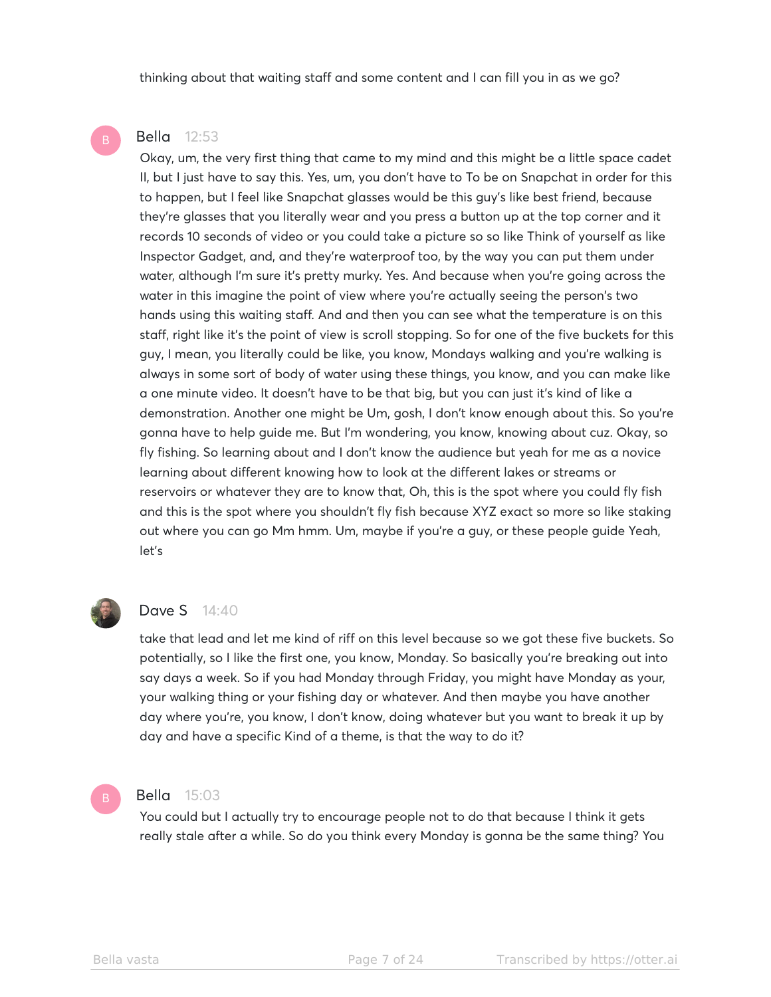thinking about that waiting staff and some content and I can fill you in as we go?

#### Bella 12:53

Okay, um, the very first thing that came to my mind and this might be a little space cadet II, but I just have to say this. Yes, um, you don't have to To be on Snapchat in order for this to happen, but I feel like Snapchat glasses would be this guy's like best friend, because they're glasses that you literally wear and you press a button up at the top corner and it records 10 seconds of video or you could take a picture so so like Think of yourself as like Inspector Gadget, and, and they're waterproof too, by the way you can put them under water, although I'm sure it's pretty murky. Yes. And because when you're going across the water in this imagine the point of view where you're actually seeing the person's two hands using this waiting staff. And and then you can see what the temperature is on this staff, right like it's the point of view is scroll stopping. So for one of the five buckets for this guy, I mean, you literally could be like, you know, Mondays walking and you're walking is always in some sort of body of water using these things, you know, and you can make like a one minute video. It doesn't have to be that big, but you can just it's kind of like a demonstration. Another one might be Um, gosh, I don't know enough about this. So you're gonna have to help guide me. But I'm wondering, you know, knowing about cuz. Okay, so fly fishing. So learning about and I don't know the audience but yeah for me as a novice learning about different knowing how to look at the different lakes or streams or reservoirs or whatever they are to know that, Oh, this is the spot where you could fly fish and this is the spot where you shouldn't fly fish because XYZ exact so more so like staking out where you can go Mm hmm. Um, maybe if you're a guy, or these people guide Yeah, let's



#### **Dave S** 14:40

take that lead and let me kind of riff on this level because so we got these five buckets. So potentially, so I like the first one, you know, Monday. So basically you're breaking out into say days a week. So if you had Monday through Friday, you might have Monday as your, your walking thing or your fishing day or whatever. And then maybe you have another day where you're, you know, I don't know, doing whatever but you want to break it up by day and have a specific Kind of a theme, is that the way to do it?

#### Bella 15:03

You could but I actually try to encourage people not to do that because I think it gets really stale after a while. So do you think every Monday is gonna be the same thing? You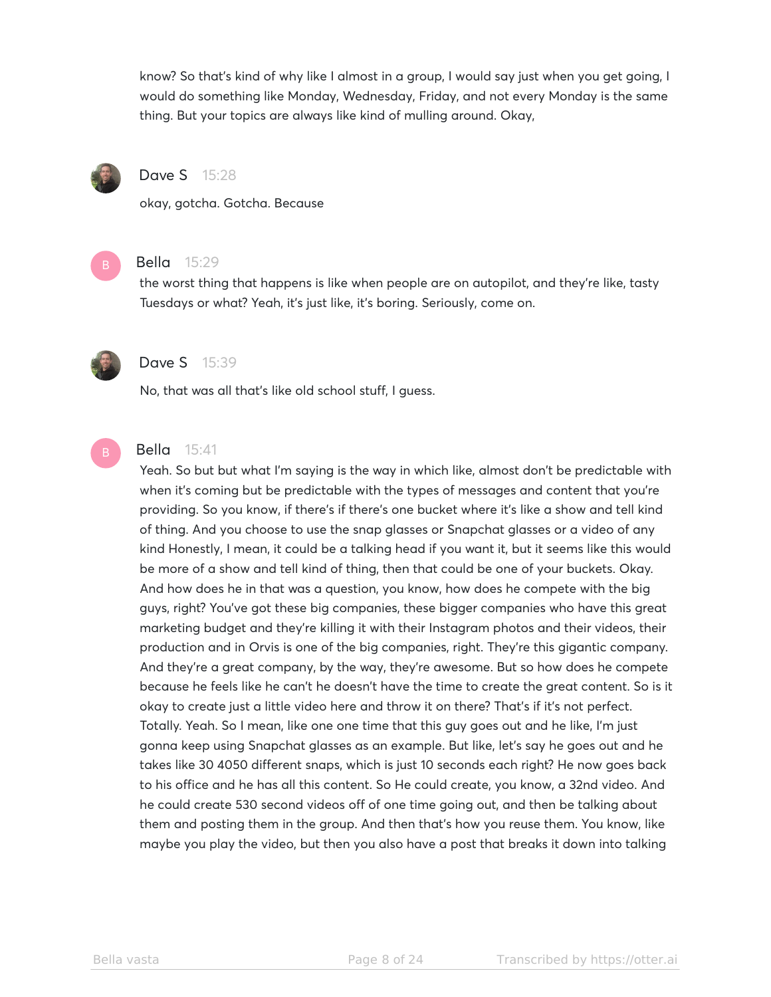know? So that's kind of why like I almost in a group, I would say just when you get going, I would do something like Monday, Wednesday, Friday, and not every Monday is the same thing. But your topics are always like kind of mulling around. Okay,



## Dave S 15:28

okay, gotcha. Gotcha. Because



#### Bella 15:29

the worst thing that happens is like when people are on autopilot, and they're like, tasty Tuesdays or what? Yeah, it's just like, it's boring. Seriously, come on.



### Dave S 15:39

No, that was all that's like old school stuff, I guess.



# Bella 15:41

Yeah. So but but what I'm saying is the way in which like, almost don't be predictable with when it's coming but be predictable with the types of messages and content that you're providing. So you know, if there's if there's one bucket where it's like a show and tell kind of thing. And you choose to use the snap glasses or Snapchat glasses or a video of any kind Honestly, I mean, it could be a talking head if you want it, but it seems like this would be more of a show and tell kind of thing, then that could be one of your buckets. Okay. And how does he in that was a question, you know, how does he compete with the big guys, right? You've got these big companies, these bigger companies who have this great marketing budget and they're killing it with their Instagram photos and their videos, their production and in Orvis is one of the big companies, right. They're this gigantic company. And they're a great company, by the way, they're awesome. But so how does he compete because he feels like he can't he doesn't have the time to create the great content. So is it okay to create just a little video here and throw it on there? That's if it's not perfect. Totally. Yeah. So I mean, like one one time that this guy goes out and he like, I'm just gonna keep using Snapchat glasses as an example. But like, let's say he goes out and he takes like 30 4050 different snaps, which is just 10 seconds each right? He now goes back to his office and he has all this content. So He could create, you know, a 32nd video. And he could create 530 second videos off of one time going out, and then be talking about them and posting them in the group. And then that's how you reuse them. You know, like maybe you play the video, but then you also have a post that breaks it down into talking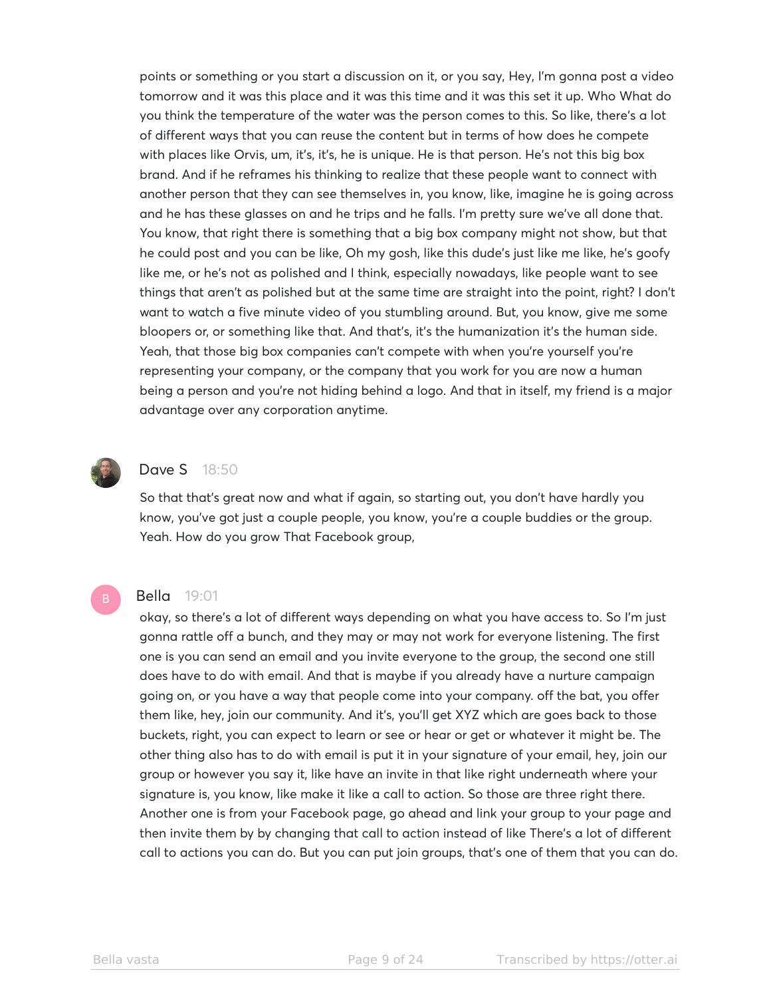points or something or you start a discussion on it, or you say, Hey, I'm gonna post a video tomorrow and it was this place and it was this time and it was this set it up. Who What do you think the temperature of the water was the person comes to this. So like, there's a lot of different ways that you can reuse the content but in terms of how does he compete with places like Orvis, um, it's, it's, he is unique. He is that person. He's not this big box brand. And if he reframes his thinking to realize that these people want to connect with another person that they can see themselves in, you know, like, imagine he is going across and he has these glasses on and he trips and he falls. I'm pretty sure we've all done that. You know, that right there is something that a big box company might not show, but that he could post and you can be like, Oh my gosh, like this dude's just like me like, he's goofy like me, or he's not as polished and I think, especially nowadays, like people want to see things that aren't as polished but at the same time are straight into the point, right? I don't want to watch a five minute video of you stumbling around. But, you know, give me some bloopers or, or something like that. And that's, it's the humanization it's the human side. Yeah, that those big box companies can't compete with when you're yourself you're representing your company, or the company that you work for you are now a human being a person and you're not hiding behind a logo. And that in itself, my friend is a major advantage over any corporation anytime.



### **Dave S** 18:50

So that that's great now and what if again, so starting out, you don't have hardly you know, you've got just a couple people, you know, you're a couple buddies or the group. Yeah. How do you grow That Facebook group,

#### Bella 19:01

okay, so there's a lot of different ways depending on what you have access to. So I'm just gonna rattle off a bunch, and they may or may not work for everyone listening. The first one is you can send an email and you invite everyone to the group, the second one still does have to do with email. And that is maybe if you already have a nurture campaign going on, or you have a way that people come into your company. off the bat, you offer them like, hey, join our community. And it's, you'll get XYZ which are goes back to those buckets, right, you can expect to learn or see or hear or get or whatever it might be. The other thing also has to do with email is put it in your signature of your email, hey, join our group or however you say it, like have an invite in that like right underneath where your signature is, you know, like make it like a call to action. So those are three right there. Another one is from your Facebook page, go ahead and link your group to your page and then invite them by by changing that call to action instead of like There's a lot of different call to actions you can do. But you can put join groups, that's one of them that you can do.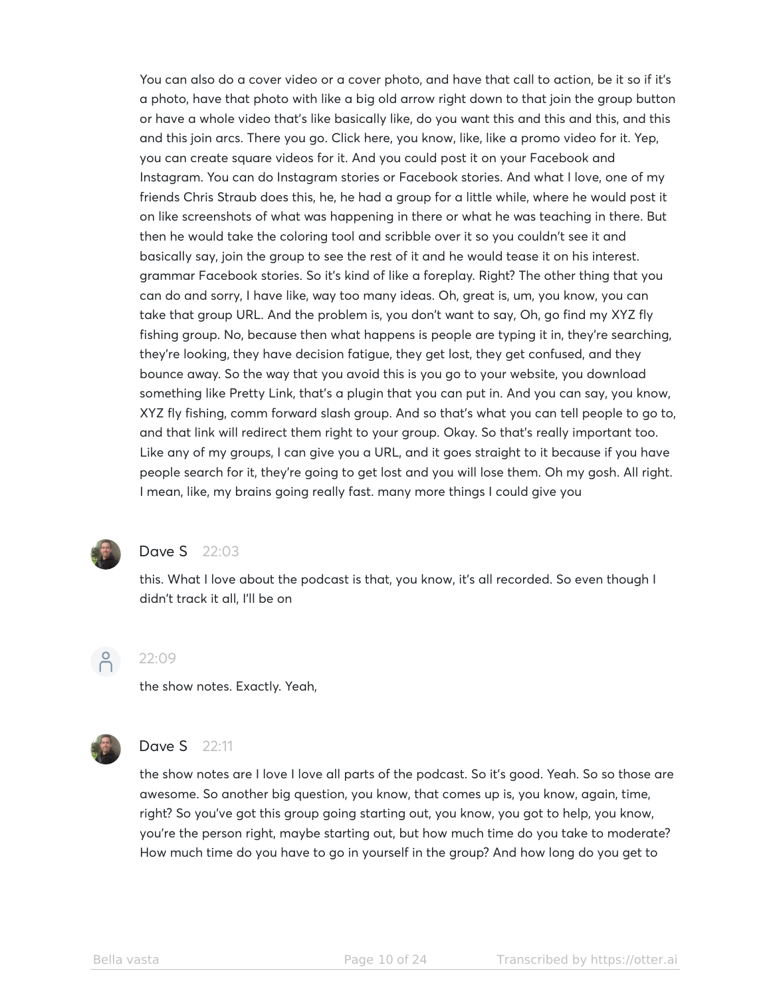You can also do a cover video or a cover photo, and have that call to action, be it so if it's a photo, have that photo with like a big old arrow right down to that join the group button or have a whole video that's like basically like, do you want this and this and this, and this and this join arcs. There you go. Click here, you know, like, like a promo video for it. Yep, you can create square videos for it. And you could post it on your Facebook and Instagram. You can do Instagram stories or Facebook stories. And what I love, one of my friends Chris Straub does this, he, he had a group for a little while, where he would post it on like screenshots of what was happening in there or what he was teaching in there. But then he would take the coloring tool and scribble over it so you couldn't see it and basically say, join the group to see the rest of it and he would tease it on his interest. grammar Facebook stories. So it's kind of like a foreplay. Right? The other thing that you can do and sorry, I have like, way too many ideas. Oh, great is, um, you know, you can take that group URL. And the problem is, you don't want to say, Oh, go find my XYZ fly fishing group. No, because then what happens is people are typing it in, they're searching, they're looking, they have decision fatigue, they get lost, they get confused, and they bounce away. So the way that you avoid this is you go to your website, you download something like Pretty Link, that's a plugin that you can put in. And you can say, you know, XYZ fly fishing, comm forward slash group. And so that's what you can tell people to go to, and that link will redirect them right to your group. Okay. So that's really important too. Like any of my groups, I can give you a URL, and it goes straight to it because if you have people search for it, they're going to get lost and you will lose them. Oh my gosh. All right. I mean, like, my brains going really fast. many more things I could give you



# **Dave S** 22:03

this. What I love about the podcast is that, you know, it's all recorded. So even though I didn't track it all, I'll be on



#### 22:09

the show notes. Exactly. Yeah,



# **Dave S** 22:11

the show notes are I love I love all parts of the podcast. So it's good. Yeah. So so those are awesome. So another big question, you know, that comes up is, you know, again, time, right? So you've got this group going starting out, you know, you got to help, you know, you're the person right, maybe starting out, but how much time do you take to moderate? How much time do you have to go in yourself in the group? And how long do you get to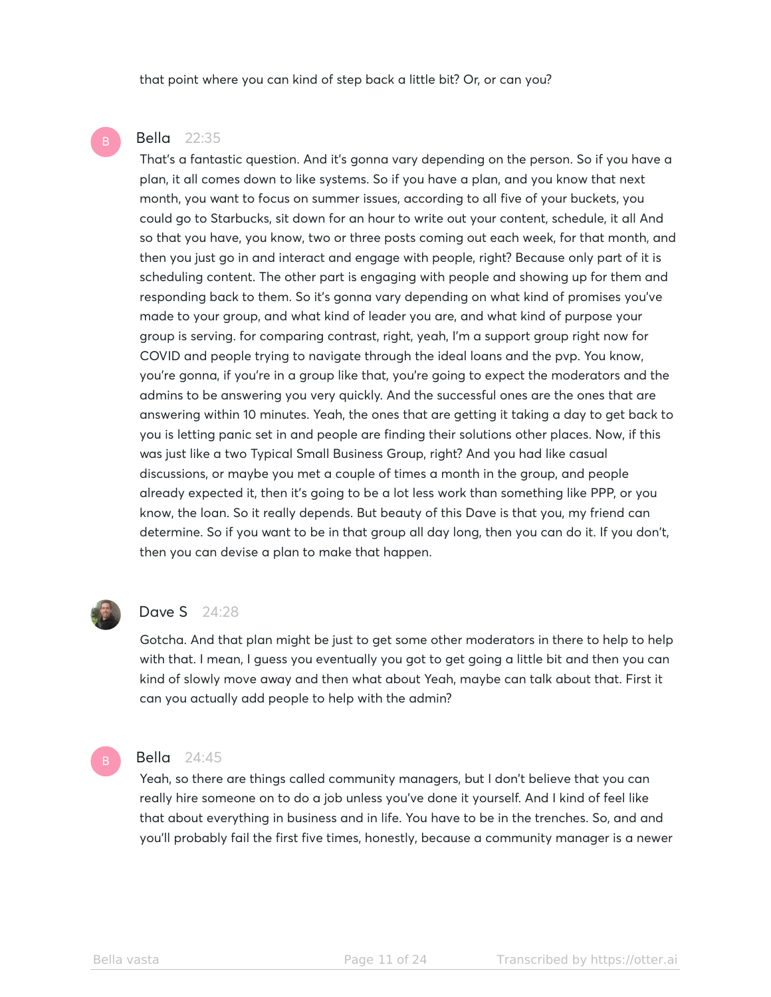that point where you can kind of step back a little bit? Or, or can you?

### Bella 22:35

That's a fantastic question. And it's gonna vary depending on the person. So if you have a plan, it all comes down to like systems. So if you have a plan, and you know that next month, you want to focus on summer issues, according to all five of your buckets, you could go to Starbucks, sit down for an hour to write out your content, schedule, it all And so that you have, you know, two or three posts coming out each week, for that month, and then you just go in and interact and engage with people, right? Because only part of it is scheduling content. The other part is engaging with people and showing up for them and responding back to them. So it's gonna vary depending on what kind of promises you've made to your group, and what kind of leader you are, and what kind of purpose your group is serving. for comparing contrast, right, yeah, I'm a support group right now for COVID and people trying to navigate through the ideal loans and the pvp. You know, you're gonna, if you're in a group like that, you're going to expect the moderators and the admins to be answering you very quickly. And the successful ones are the ones that are answering within 10 minutes. Yeah, the ones that are getting it taking a day to get back to you is letting panic set in and people are finding their solutions other places. Now, if this was just like a two Typical Small Business Group, right? And you had like casual discussions, or maybe you met a couple of times a month in the group, and people already expected it, then it's going to be a lot less work than something like PPP, or you know, the loan. So it really depends. But beauty of this Dave is that you, my friend can determine. So if you want to be in that group all day long, then you can do it. If you don't, then you can devise a plan to make that happen.



#### Dave S 24:28

Gotcha. And that plan might be just to get some other moderators in there to help to help with that. I mean, I guess you eventually you got to get going a little bit and then you can kind of slowly move away and then what about Yeah, maybe can talk about that. First it can you actually add people to help with the admin?

#### Bella 24:45

Yeah, so there are things called community managers, but I don't believe that you can really hire someone on to do a job unless you've done it yourself. And I kind of feel like that about everything in business and in life. You have to be in the trenches. So, and and you'll probably fail the first five times, honestly, because a community manager is a newer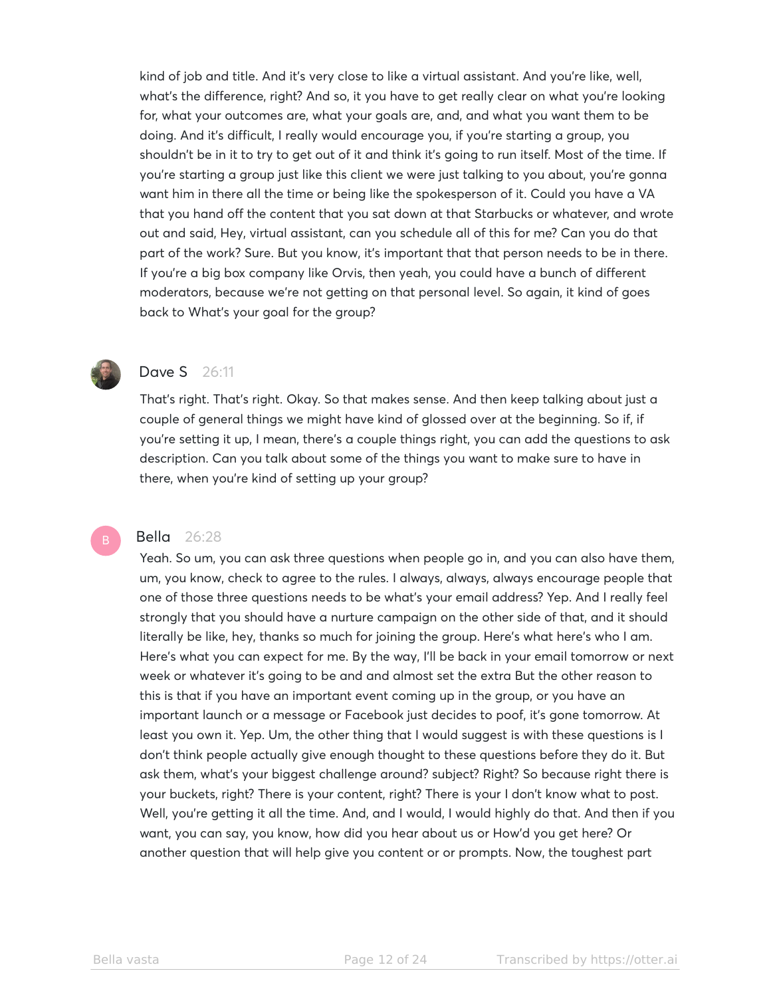kind of job and title. And it's very close to like a virtual assistant. And you're like, well, what's the difference, right? And so, it you have to get really clear on what you're looking for, what your outcomes are, what your goals are, and, and what you want them to be doing. And it's difficult, I really would encourage you, if you're starting a group, you shouldn't be in it to try to get out of it and think it's going to run itself. Most of the time. If you're starting a group just like this client we were just talking to you about, you're gonna want him in there all the time or being like the spokesperson of it. Could you have a VA that you hand off the content that you sat down at that Starbucks or whatever, and wrote out and said, Hey, virtual assistant, can you schedule all of this for me? Can you do that part of the work? Sure. But you know, it's important that that person needs to be in there. If you're a big box company like Orvis, then yeah, you could have a bunch of different moderators, because we're not getting on that personal level. So again, it kind of goes back to What's your goal for the group?



# **Dave S** 26:11

That's right. That's right. Okay. So that makes sense. And then keep talking about just a couple of general things we might have kind of glossed over at the beginning. So if, if you're setting it up, I mean, there's a couple things right, you can add the questions to ask description. Can you talk about some of the things you want to make sure to have in there, when you're kind of setting up your group?

#### Bella 26:28

Yeah. So um, you can ask three questions when people go in, and you can also have them, um, you know, check to agree to the rules. I always, always, always encourage people that one of those three questions needs to be what's your email address? Yep. And I really feel strongly that you should have a nurture campaign on the other side of that, and it should literally be like, hey, thanks so much for joining the group. Here's what here's who I am. Here's what you can expect for me. By the way, I'll be back in your email tomorrow or next week or whatever it's going to be and and almost set the extra But the other reason to this is that if you have an important event coming up in the group, or you have an important launch or a message or Facebook just decides to poof, it's gone tomorrow. At least you own it. Yep. Um, the other thing that I would suggest is with these questions is I don't think people actually give enough thought to these questions before they do it. But ask them, what's your biggest challenge around? subject? Right? So because right there is your buckets, right? There is your content, right? There is your I don't know what to post. Well, you're getting it all the time. And, and I would, I would highly do that. And then if you want, you can say, you know, how did you hear about us or How'd you get here? Or another question that will help give you content or or prompts. Now, the toughest part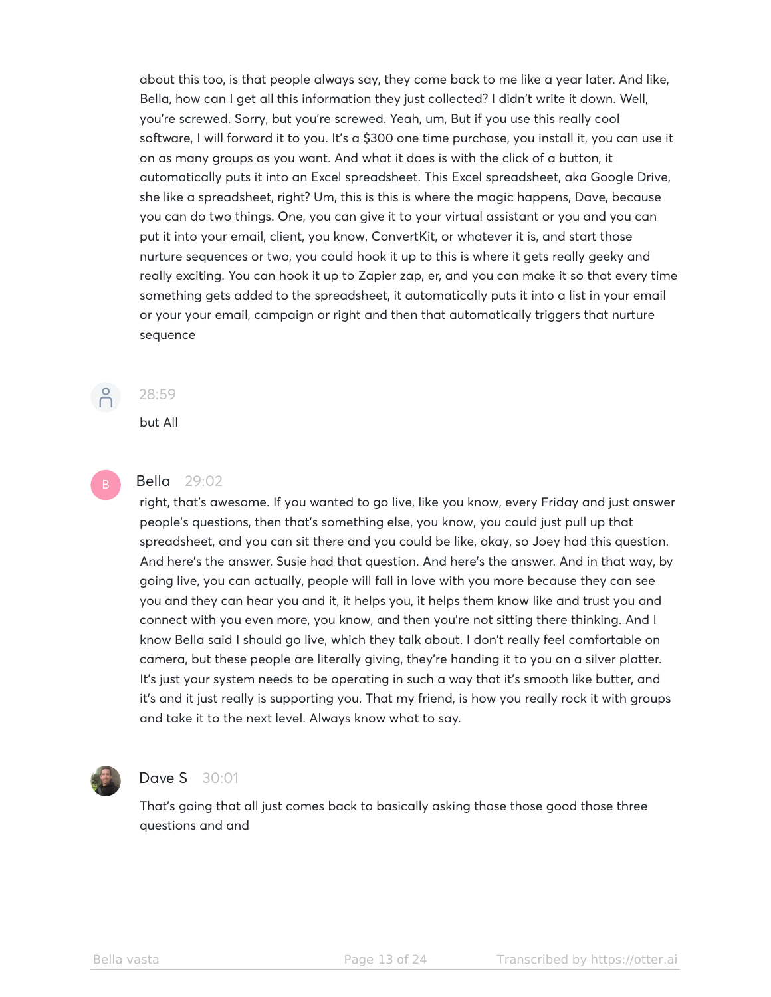about this too, is that people always say, they come back to me like a year later. And like, Bella, how can I get all this information they just collected? I didn't write it down. Well, you're screwed. Sorry, but you're screwed. Yeah, um, But if you use this really cool software, I will forward it to you. It's a \$300 one time purchase, you install it, you can use it on as many groups as you want. And what it does is with the click of a button, it automatically puts it into an Excel spreadsheet. This Excel spreadsheet, aka Google Drive, she like a spreadsheet, right? Um, this is this is where the magic happens, Dave, because you can do two things. One, you can give it to your virtual assistant or you and you can put it into your email, client, you know, ConvertKit, or whatever it is, and start those nurture sequences or two, you could hook it up to this is where it gets really geeky and really exciting. You can hook it up to Zapier zap, er, and you can make it so that every time something gets added to the spreadsheet, it automatically puts it into a list in your email or your your email, campaign or right and then that automatically triggers that nurture sequence



# 28:59

but All

## Bella 29:02

right, that's awesome. If you wanted to go live, like you know, every Friday and just answer people's questions, then that's something else, you know, you could just pull up that spreadsheet, and you can sit there and you could be like, okay, so Joey had this question. And here's the answer. Susie had that question. And here's the answer. And in that way, by going live, you can actually, people will fall in love with you more because they can see you and they can hear you and it, it helps you, it helps them know like and trust you and connect with you even more, you know, and then you're not sitting there thinking. And I know Bella said I should go live, which they talk about. I don't really feel comfortable on camera, but these people are literally giving, they're handing it to you on a silver platter. It's just your system needs to be operating in such a way that it's smooth like butter, and it's and it just really is supporting you. That my friend, is how you really rock it with groups and take it to the next level. Always know what to say.



# **Dave S** 30:01

That's going that all just comes back to basically asking those those good those three questions and and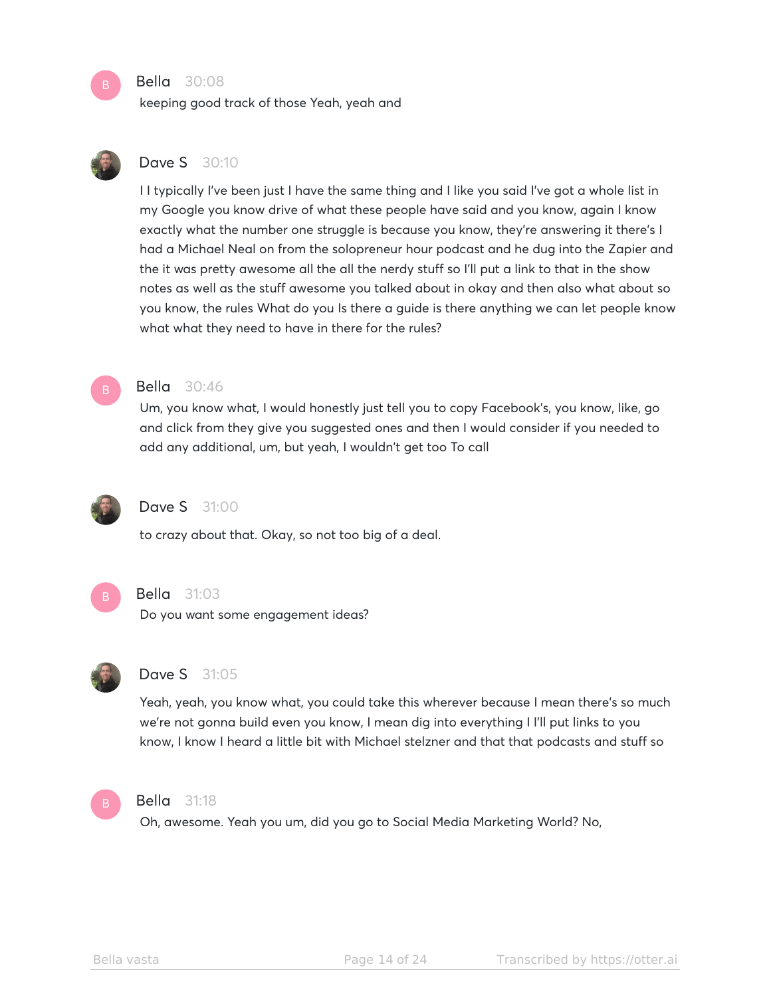#### Bella 30:08

keeping good track of those Yeah, yeah and



# **Dave S** 30:10

I I typically I've been just I have the same thing and I like you said I've got a whole list in my Google you know drive of what these people have said and you know, again I know exactly what the number one struggle is because you know, they're answering it there's I had a Michael Neal on from the solopreneur hour podcast and he dug into the Zapier and the it was pretty awesome all the all the nerdy stuff so I'll put a link to that in the show notes as well as the stuff awesome you talked about in okay and then also what about so you know, the rules What do you Is there a guide is there anything we can let people know what what they need to have in there for the rules?



#### Bella 30:46

Um, you know what, I would honestly just tell you to copy Facebook's, you know, like, go and click from they give you suggested ones and then I would consider if you needed to add any additional, um, but yeah, I wouldn't get too To call



# **Dave S** 31:00

to crazy about that. Okay, so not too big of a deal.



#### Bella 31:03

Do you want some engagement ideas?



### Dave S 31:05

Yeah, yeah, you know what, you could take this wherever because I mean there's so much we're not gonna build even you know, I mean dig into everything I I'll put links to you know, I know I heard a little bit with Michael stelzner and that that podcasts and stuff so



#### Bella 31:18

Oh, awesome. Yeah you um, did you go to Social Media Marketing World? No,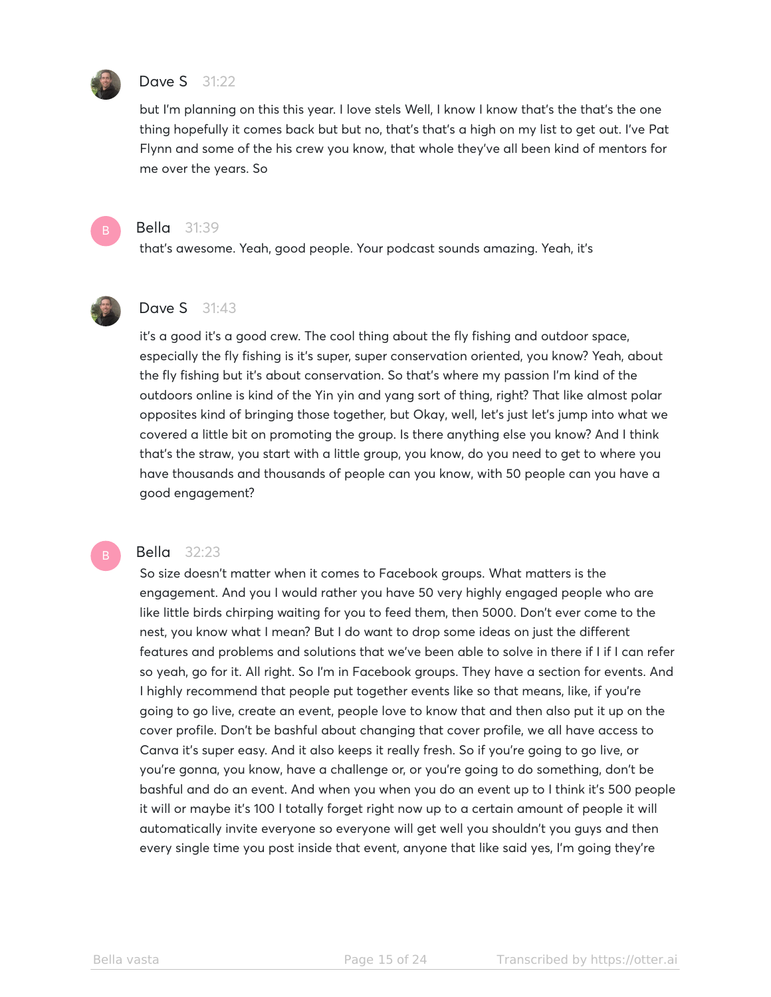

#### Dave S 31:22

but I'm planning on this this year. I love stels Well, I know I know that's the that's the one thing hopefully it comes back but but no, that's that's a high on my list to get out. I've Pat Flynn and some of the his crew you know, that whole they've all been kind of mentors for me over the years. So



#### Bella 31:39

that's awesome. Yeah, good people. Your podcast sounds amazing. Yeah, it's



# **Dave S** 31:43

it's a good it's a good crew. The cool thing about the fly fishing and outdoor space, especially the fly fishing is it's super, super conservation oriented, you know? Yeah, about the fly fishing but it's about conservation. So that's where my passion I'm kind of the outdoors online is kind of the Yin yin and yang sort of thing, right? That like almost polar opposites kind of bringing those together, but Okay, well, let's just let's jump into what we covered a little bit on promoting the group. Is there anything else you know? And I think that's the straw, you start with a little group, you know, do you need to get to where you have thousands and thousands of people can you know, with 50 people can you have a good engagement?

#### Bella 32:23

So size doesn't matter when it comes to Facebook groups. What matters is the engagement. And you I would rather you have 50 very highly engaged people who are like little birds chirping waiting for you to feed them, then 5000. Don't ever come to the nest, you know what I mean? But I do want to drop some ideas on just the different features and problems and solutions that we've been able to solve in there if I if I can refer so yeah, go for it. All right. So I'm in Facebook groups. They have a section for events. And I highly recommend that people put together events like so that means, like, if you're going to go live, create an event, people love to know that and then also put it up on the cover profile. Don't be bashful about changing that cover profile, we all have access to Canva it's super easy. And it also keeps it really fresh. So if you're going to go live, or you're gonna, you know, have a challenge or, or you're going to do something, don't be bashful and do an event. And when you when you do an event up to I think it's 500 people it will or maybe it's 100 I totally forget right now up to a certain amount of people it will automatically invite everyone so everyone will get well you shouldn't you guys and then every single time you post inside that event, anyone that like said yes, I'm going they're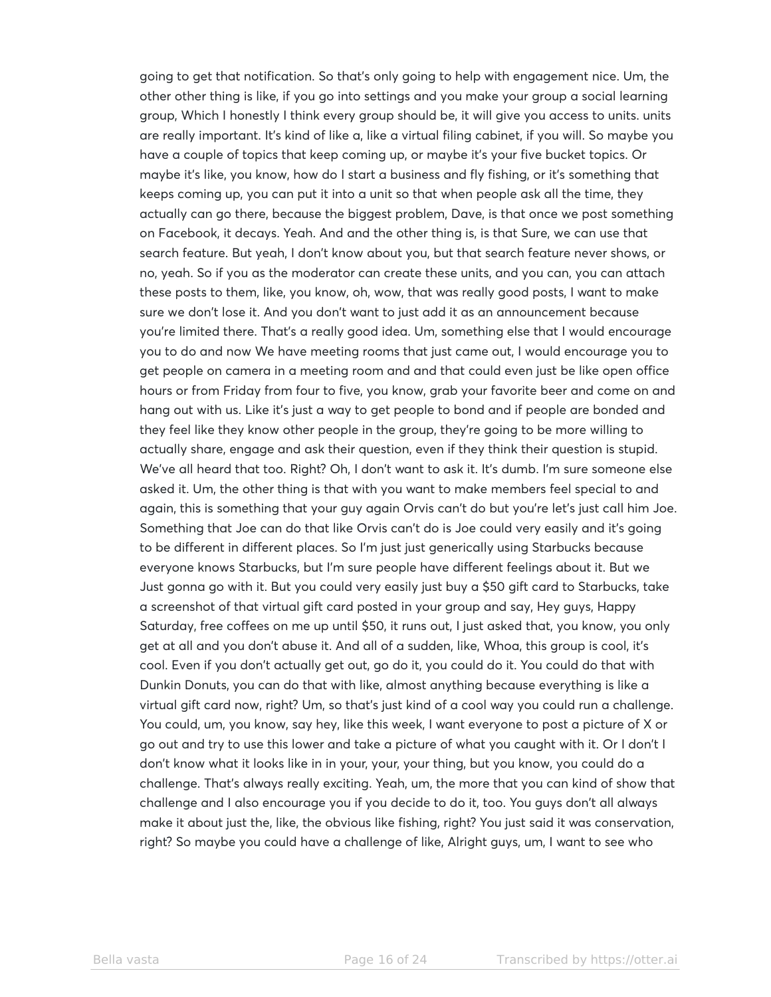going to get that notification. So that's only going to help with engagement nice. Um, the other other thing is like, if you go into settings and you make your group a social learning group, Which I honestly I think every group should be, it will give you access to units. units are really important. It's kind of like a, like a virtual filing cabinet, if you will. So maybe you have a couple of topics that keep coming up, or maybe it's your five bucket topics. Or maybe it's like, you know, how do I start a business and fly fishing, or it's something that keeps coming up, you can put it into a unit so that when people ask all the time, they actually can go there, because the biggest problem, Dave, is that once we post something on Facebook, it decays. Yeah. And and the other thing is, is that Sure, we can use that search feature. But yeah, I don't know about you, but that search feature never shows, or no, yeah. So if you as the moderator can create these units, and you can, you can attach these posts to them, like, you know, oh, wow, that was really good posts, I want to make sure we don't lose it. And you don't want to just add it as an announcement because you're limited there. That's a really good idea. Um, something else that I would encourage you to do and now We have meeting rooms that just came out, I would encourage you to get people on camera in a meeting room and and that could even just be like open office hours or from Friday from four to five, you know, grab your favorite beer and come on and hang out with us. Like it's just a way to get people to bond and if people are bonded and they feel like they know other people in the group, they're going to be more willing to actually share, engage and ask their question, even if they think their question is stupid. We've all heard that too. Right? Oh, I don't want to ask it. It's dumb. I'm sure someone else asked it. Um, the other thing is that with you want to make members feel special to and again, this is something that your guy again Orvis can't do but you're let's just call him Joe. Something that Joe can do that like Orvis can't do is Joe could very easily and it's going to be different in different places. So I'm just just generically using Starbucks because everyone knows Starbucks, but I'm sure people have different feelings about it. But we Just gonna go with it. But you could very easily just buy a \$50 gift card to Starbucks, take a screenshot of that virtual gift card posted in your group and say, Hey guys, Happy Saturday, free coffees on me up until \$50, it runs out, I just asked that, you know, you only get at all and you don't abuse it. And all of a sudden, like, Whoa, this group is cool, it's cool. Even if you don't actually get out, go do it, you could do it. You could do that with Dunkin Donuts, you can do that with like, almost anything because everything is like a virtual gift card now, right? Um, so that's just kind of a cool way you could run a challenge. You could, um, you know, say hey, like this week, I want everyone to post a picture of X or go out and try to use this lower and take a picture of what you caught with it. Or I don't I don't know what it looks like in in your, your, your thing, but you know, you could do a challenge. That's always really exciting. Yeah, um, the more that you can kind of show that challenge and I also encourage you if you decide to do it, too. You guys don't all always make it about just the, like, the obvious like fishing, right? You just said it was conservation, right? So maybe you could have a challenge of like, Alright guys, um, I want to see who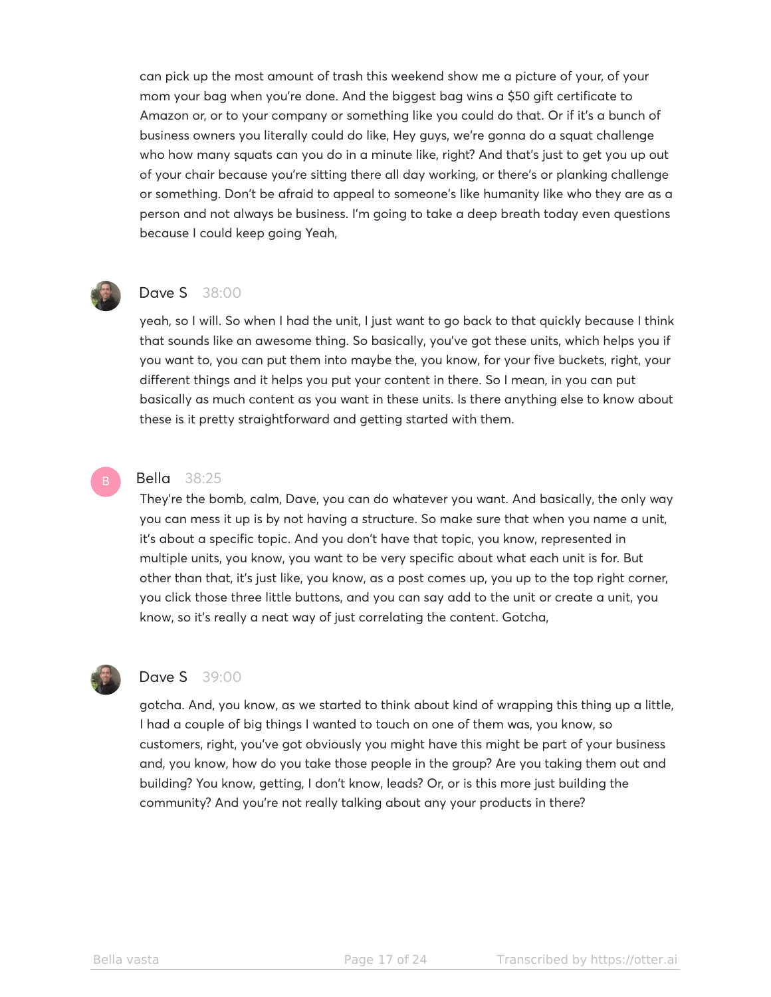can pick up the most amount of trash this weekend show me a picture of your, of your mom your bag when you're done. And the biggest bag wins a \$50 gift certificate to Amazon or, or to your company or something like you could do that. Or if it's a bunch of business owners you literally could do like, Hey guys, we're gonna do a squat challenge who how many squats can you do in a minute like, right? And that's just to get you up out of your chair because you're sitting there all day working, or there's or planking challenge or something. Don't be afraid to appeal to someone's like humanity like who they are as a person and not always be business. I'm going to take a deep breath today even questions because I could keep going Yeah,



## Dave S 38:00

yeah, so I will. So when I had the unit, I just want to go back to that quickly because I think that sounds like an awesome thing. So basically, you've got these units, which helps you if you want to, you can put them into maybe the, you know, for your five buckets, right, your different things and it helps you put your content in there. So I mean, in you can put basically as much content as you want in these units. Is there anything else to know about these is it pretty straightforward and getting started with them.

#### Bella 38:25

They're the bomb, calm, Dave, you can do whatever you want. And basically, the only way you can mess it up is by not having a structure. So make sure that when you name a unit, it's about a specific topic. And you don't have that topic, you know, represented in multiple units, you know, you want to be very specific about what each unit is for. But other than that, it's just like, you know, as a post comes up, you up to the top right corner, you click those three little buttons, and you can say add to the unit or create a unit, you know, so it's really a neat way of just correlating the content. Gotcha,



#### **Dave S** 39:00

gotcha. And, you know, as we started to think about kind of wrapping this thing up a little, I had a couple of big things I wanted to touch on one of them was, you know, so customers, right, you've got obviously you might have this might be part of your business and, you know, how do you take those people in the group? Are you taking them out and building? You know, getting, I don't know, leads? Or, or is this more just building the community? And you're not really talking about any your products in there?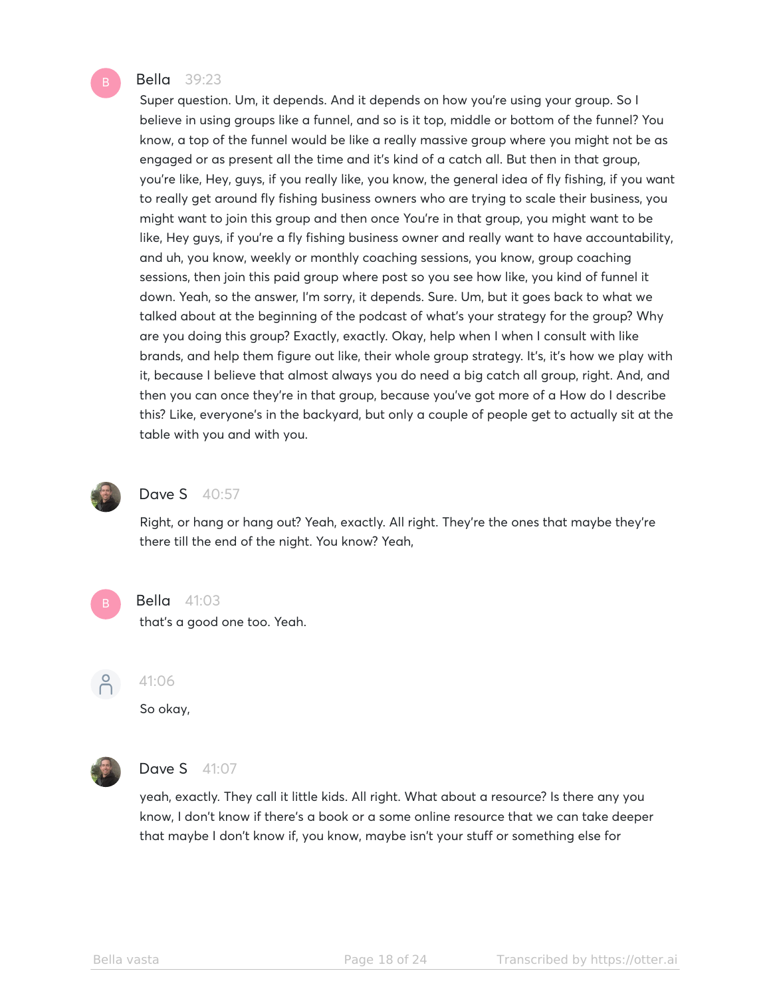#### Bella 39:23

Super question. Um, it depends. And it depends on how you're using your group. So I believe in using groups like a funnel, and so is it top, middle or bottom of the funnel? You know, a top of the funnel would be like a really massive group where you might not be as engaged or as present all the time and it's kind of a catch all. But then in that group, you're like, Hey, guys, if you really like, you know, the general idea of fly fishing, if you want to really get around fly fishing business owners who are trying to scale their business, you might want to join this group and then once You're in that group, you might want to be like, Hey guys, if you're a fly fishing business owner and really want to have accountability, and uh, you know, weekly or monthly coaching sessions, you know, group coaching sessions, then join this paid group where post so you see how like, you kind of funnel it down. Yeah, so the answer, I'm sorry, it depends. Sure. Um, but it goes back to what we talked about at the beginning of the podcast of what's your strategy for the group? Why are you doing this group? Exactly, exactly. Okay, help when I when I consult with like brands, and help them figure out like, their whole group strategy. It's, it's how we play with it, because I believe that almost always you do need a big catch all group, right. And, and then you can once they're in that group, because you've got more of a How do I describe this? Like, everyone's in the backyard, but only a couple of people get to actually sit at the table with you and with you.



#### **Dave S** 40:57

Right, or hang or hang out? Yeah, exactly. All right. They're the ones that maybe they're there till the end of the night. You know? Yeah,



#### Bella 41:03

that's a good one too. Yeah.



#### 41:06

So okay,



# **Dave S** 41:07

yeah, exactly. They call it little kids. All right. What about a resource? Is there any you know, I don't know if there's a book or a some online resource that we can take deeper that maybe I don't know if, you know, maybe isn't your stuff or something else for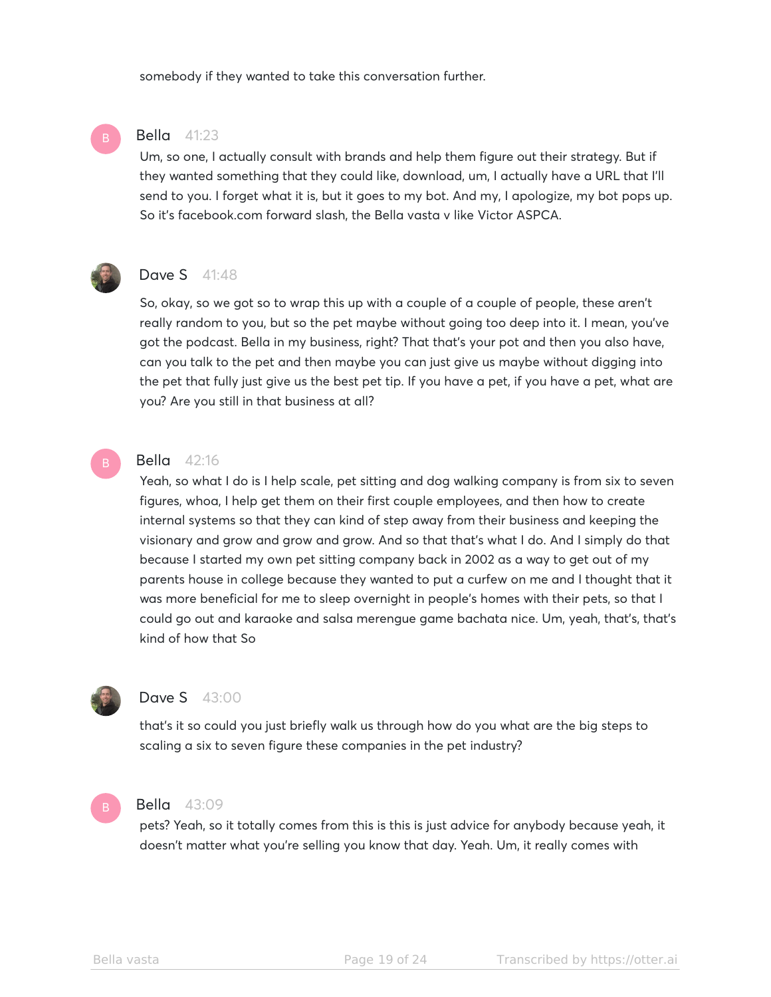somebody if they wanted to take this conversation further.

#### Bella 41:23

Um, so one, I actually consult with brands and help them figure out their strategy. But if they wanted something that they could like, download, um, I actually have a URL that I'll send to you. I forget what it is, but it goes to my bot. And my, I apologize, my bot pops up. So it's facebook.com forward slash, the Bella vasta v like Victor ASPCA.



#### **Dave S** 41:48

So, okay, so we got so to wrap this up with a couple of a couple of people, these aren't really random to you, but so the pet maybe without going too deep into it. I mean, you've got the podcast. Bella in my business, right? That that's your pot and then you also have, can you talk to the pet and then maybe you can just give us maybe without digging into the pet that fully just give us the best pet tip. If you have a pet, if you have a pet, what are you? Are you still in that business at all?

# Bella 42:16

Yeah, so what I do is I help scale, pet sitting and dog walking company is from six to seven figures, whoa, I help get them on their first couple employees, and then how to create internal systems so that they can kind of step away from their business and keeping the visionary and grow and grow and grow. And so that that's what I do. And I simply do that because I started my own pet sitting company back in 2002 as a way to get out of my parents house in college because they wanted to put a curfew on me and I thought that it was more beneficial for me to sleep overnight in people's homes with their pets, so that I could go out and karaoke and salsa merengue game bachata nice. Um, yeah, that's, that's kind of how that So



# **Dave S** 43:00

that's it so could you just briefly walk us through how do you what are the big steps to scaling a six to seven figure these companies in the pet industry?

#### Bella 43:09

pets? Yeah, so it totally comes from this is this is just advice for anybody because yeah, it doesn't matter what you're selling you know that day. Yeah. Um, it really comes with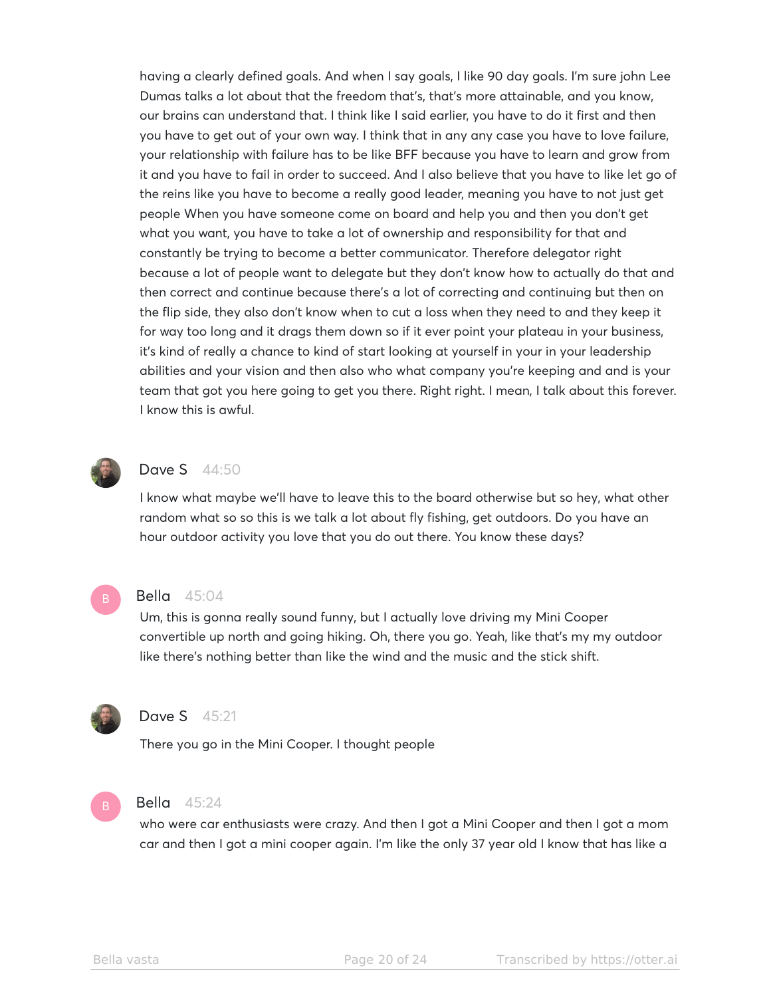having a clearly defined goals. And when I say goals, I like 90 day goals. I'm sure john Lee Dumas talks a lot about that the freedom that's, that's more attainable, and you know, our brains can understand that. I think like I said earlier, you have to do it first and then you have to get out of your own way. I think that in any any case you have to love failure, your relationship with failure has to be like BFF because you have to learn and grow from it and you have to fail in order to succeed. And I also believe that you have to like let go of the reins like you have to become a really good leader, meaning you have to not just get people When you have someone come on board and help you and then you don't get what you want, you have to take a lot of ownership and responsibility for that and constantly be trying to become a better communicator. Therefore delegator right because a lot of people want to delegate but they don't know how to actually do that and then correct and continue because there's a lot of correcting and continuing but then on the flip side, they also don't know when to cut a loss when they need to and they keep it for way too long and it drags them down so if it ever point your plateau in your business, it's kind of really a chance to kind of start looking at yourself in your in your leadership abilities and your vision and then also who what company you're keeping and and is your team that got you here going to get you there. Right right. I mean, I talk about this forever. I know this is awful.



# **Dave S** 44:50

I know what maybe we'll have to leave this to the board otherwise but so hey, what other random what so so this is we talk a lot about fly fishing, get outdoors. Do you have an hour outdoor activity you love that you do out there. You know these days?



#### Bella 45:04

Um, this is gonna really sound funny, but I actually love driving my Mini Cooper convertible up north and going hiking. Oh, there you go. Yeah, like that's my my outdoor like there's nothing better than like the wind and the music and the stick shift.



# Dave S 45:21

There you go in the Mini Cooper. I thought people



#### Bella 45:24

who were car enthusiasts were crazy. And then I got a Mini Cooper and then I got a mom car and then I got a mini cooper again. I'm like the only 37 year old I know that has like a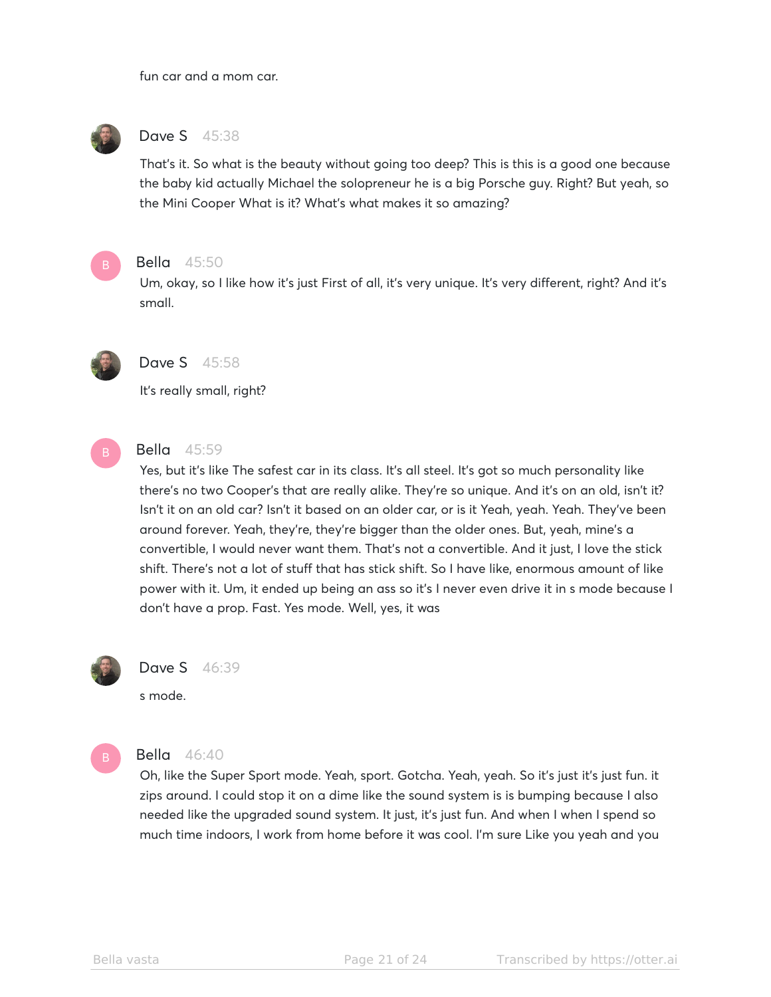fun car and a mom car.



# Dave S 45:38

That's it. So what is the beauty without going too deep? This is this is a good one because the baby kid actually Michael the solopreneur he is a big Porsche guy. Right? But yeah, so the Mini Cooper What is it? What's what makes it so amazing?



#### Bella 45:50

Um, okay, so I like how it's just First of all, it's very unique. It's very different, right? And it's small.



# Dave S 45:58

It's really small, right?



# Bella 45:59

Yes, but it's like The safest car in its class. It's all steel. It's got so much personality like there's no two Cooper's that are really alike. They're so unique. And it's on an old, isn't it? Isn't it on an old car? Isn't it based on an older car, or is it Yeah, yeah. Yeah. They've been around forever. Yeah, they're, they're bigger than the older ones. But, yeah, mine's a convertible, I would never want them. That's not a convertible. And it just, I love the stick shift. There's not a lot of stuff that has stick shift. So I have like, enormous amount of like power with it. Um, it ended up being an ass so it's I never even drive it in s mode because I don't have a prop. Fast. Yes mode. Well, yes, it was



#### Dave S 46:39

s mode.



# Bella 46:40

Oh, like the Super Sport mode. Yeah, sport. Gotcha. Yeah, yeah. So it's just it's just fun. it zips around. I could stop it on a dime like the sound system is is bumping because I also needed like the upgraded sound system. It just, it's just fun. And when I when I spend so much time indoors, I work from home before it was cool. I'm sure Like you yeah and you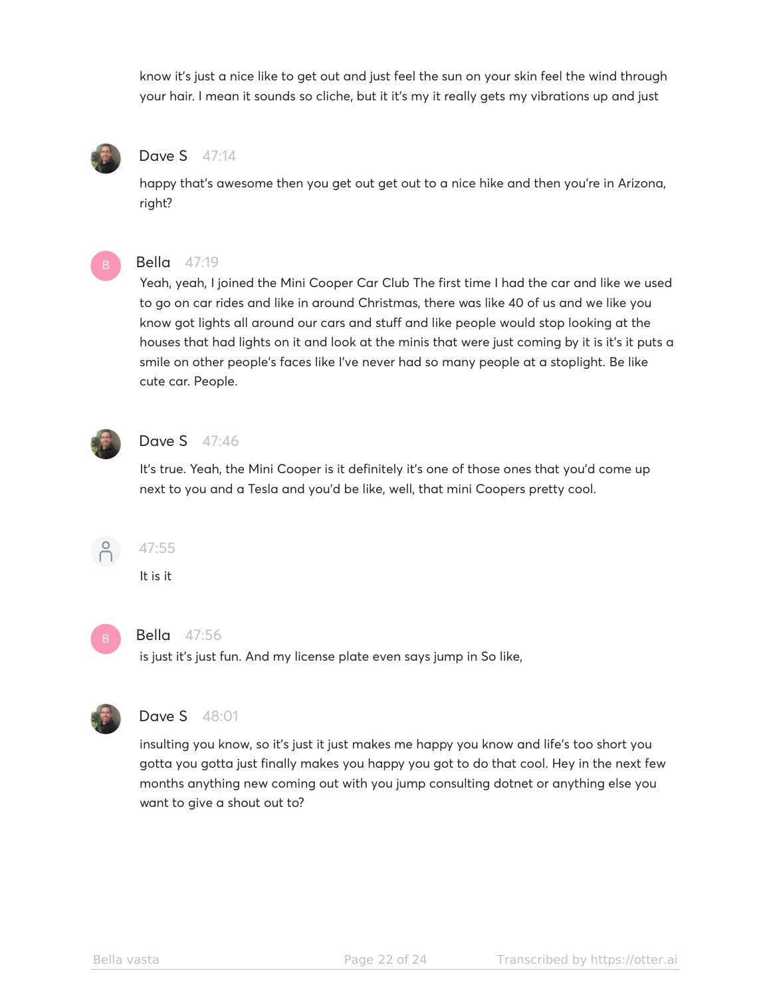know it's just a nice like to get out and just feel the sun on your skin feel the wind through your hair. I mean it sounds so cliche, but it it's my it really gets my vibrations up and just



# Dave S 47:14

happy that's awesome then you get out get out to a nice hike and then you're in Arizona, right?



#### Bella 47:19

Yeah, yeah, I joined the Mini Cooper Car Club The first time I had the car and like we used to go on car rides and like in around Christmas, there was like 40 of us and we like you know got lights all around our cars and stuff and like people would stop looking at the houses that had lights on it and look at the minis that were just coming by it is it's it puts a smile on other people's faces like I've never had so many people at a stoplight. Be like cute car. People.



#### **Dave S** 47:46

It's true. Yeah, the Mini Cooper is it definitely it's one of those ones that you'd come up next to you and a Tesla and you'd be like, well, that mini Coopers pretty cool.



#### 47:55

It is it



#### Bella 47:56

is just it's just fun. And my license plate even says jump in So like,



# Dave S 48:01

insulting you know, so it's just it just makes me happy you know and life's too short you gotta you gotta just finally makes you happy you got to do that cool. Hey in the next few months anything new coming out with you jump consulting dotnet or anything else you want to give a shout out to?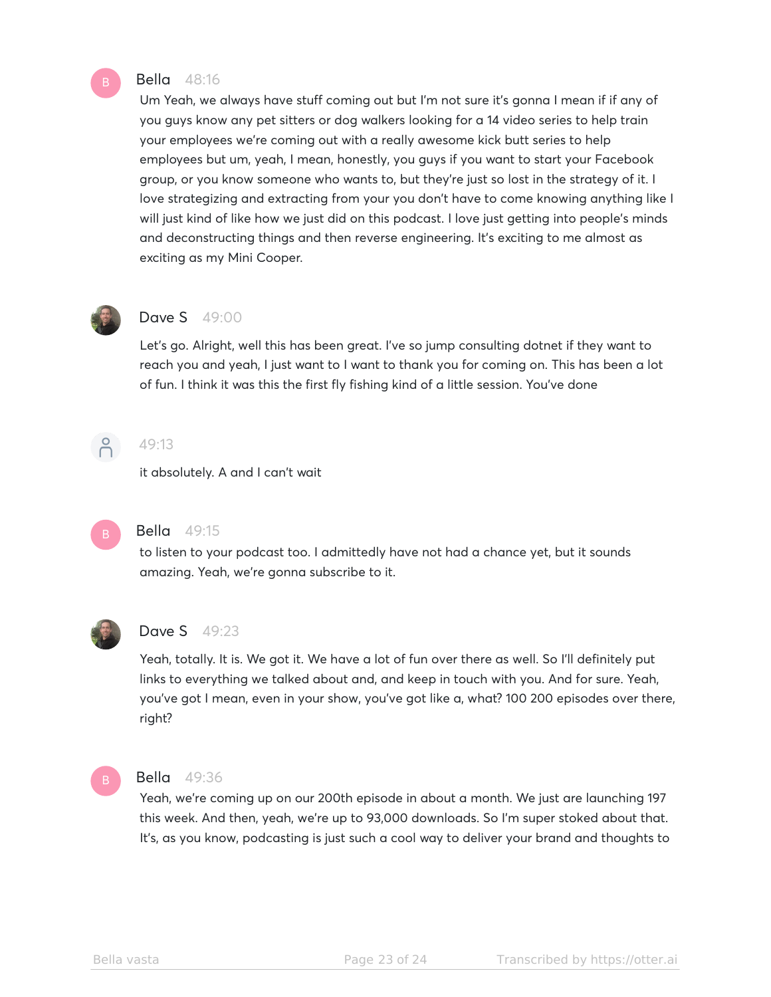#### Bella 48:16

Um Yeah, we always have stuff coming out but I'm not sure it's gonna I mean if if any of you guys know any pet sitters or dog walkers looking for a 14 video series to help train your employees we're coming out with a really awesome kick butt series to help employees but um, yeah, I mean, honestly, you guys if you want to start your Facebook group, or you know someone who wants to, but they're just so lost in the strategy of it. I love strategizing and extracting from your you don't have to come knowing anything like I will just kind of like how we just did on this podcast. I love just getting into people's minds and deconstructing things and then reverse engineering. It's exciting to me almost as exciting as my Mini Cooper.



#### **Dave S** 49:00

Let's go. Alright, well this has been great. I've so jump consulting dotnet if they want to reach you and yeah, I just want to I want to thank you for coming on. This has been a lot of fun. I think it was this the first fly fishing kind of a little session. You've done



# 49:13

it absolutely. A and I can't wait



# Bella 49:15

to listen to your podcast too. I admittedly have not had a chance yet, but it sounds amazing. Yeah, we're gonna subscribe to it.



#### Dave S 49:23

Yeah, totally. It is. We got it. We have a lot of fun over there as well. So I'll definitely put links to everything we talked about and, and keep in touch with you. And for sure. Yeah, you've got I mean, even in your show, you've got like a, what? 100 200 episodes over there, right?



#### Bella 49:36

Yeah, we're coming up on our 200th episode in about a month. We just are launching 197 this week. And then, yeah, we're up to 93,000 downloads. So I'm super stoked about that. It's, as you know, podcasting is just such a cool way to deliver your brand and thoughts to